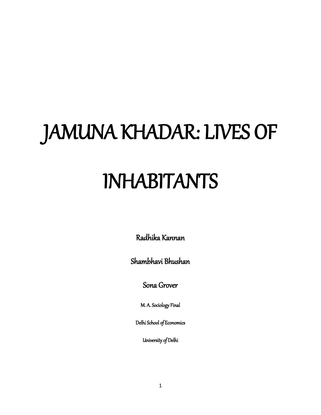# JAMUNA KHADAR: LIVES OF

## INHABITANTS

Radhika Kannan

Shambhavi Bhushan

Sona Grover

M. A. Sociology Final

Delhi School of Economics

University of Delhi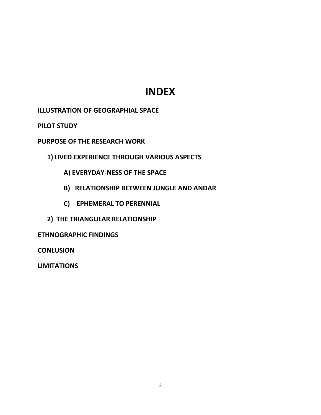### **INDEX**

**ILLUSTRATION OF GEOGRAPHIAL SPACE**

**PILOT STUDY**

**PURPOSE OF THE RESEARCH WORK**

**1) LIVED EXPERIENCE THROUGH VARIOUS ASPECTS**

- **A) EVERYDAY-NESS OF THE SPACE**
- **B) RELATIONSHIP BETWEEN JUNGLE AND ANDAR**
- **C) EPHEMERAL TO PERENNIAL**
- **2) THE TRIANGULAR RELATIONSHIP**

**ETHNOGRAPHIC FINDINGS**

**CONLUSION**

**LIMITATIONS**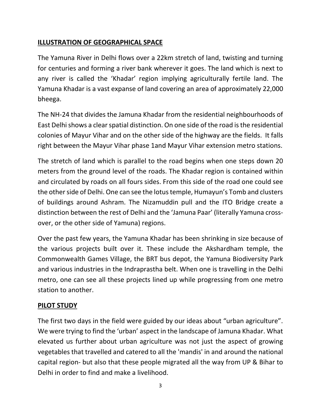#### **ILLUSTRATION OF GEOGRAPHICAL SPACE**

The Yamuna River in Delhi flows over a 22km stretch of land, twisting and turning for centuries and forming a river bank wherever it goes. The land which is next to any river is called the 'Khadar' region implying agriculturally fertile land. The Yamuna Khadar is a vast expanse of land covering an area of approximately 22,000 bheega.

The NH-24 that divides the Jamuna Khadar from the residential neighbourhoods of East Delhi shows a clear spatial distinction. On one side of the road is the residential colonies of Mayur Vihar and on the other side of the highway are the fields. It falls right between the Mayur Vihar phase 1and Mayur Vihar extension metro stations.

The stretch of land which is parallel to the road begins when one steps down 20 meters from the ground level of the roads. The Khadar region is contained within and circulated by roads on all fours sides. From this side of the road one could see the other side of Delhi. One can see the lotus temple, Humayun's Tomb and clusters of buildings around Ashram. The Nizamuddin pull and the ITO Bridge create a distinction between the rest of Delhi and the 'Jamuna Paar' (literally Yamuna crossover, or the other side of Yamuna) regions.

Over the past few years, the Yamuna Khadar has been shrinking in size because of the various projects built over it. These include the Akshardham temple, the Commonwealth Games Village, the BRT bus depot, the Yamuna Biodiversity Park and various industries in the Indraprastha belt. When one is travelling in the Delhi metro, one can see all these projects lined up while progressing from one metro station to another.

#### **PILOT STUDY**

The first two days in the field were guided by our ideas about "urban agriculture". We were trying to find the 'urban' aspect in the landscape of Jamuna Khadar. What elevated us further about urban agriculture was not just the aspect of growing vegetables that travelled and catered to all the 'mandis' in and around the national capital region- but also that these people migrated all the way from UP & Bihar to Delhi in order to find and make a livelihood.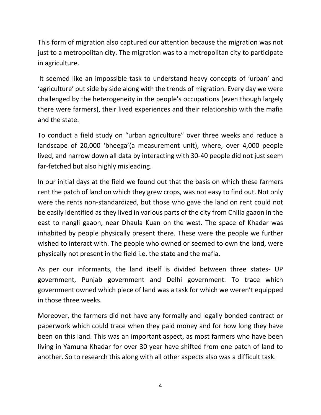This form of migration also captured our attention because the migration was not just to a metropolitan city. The migration was to a metropolitan city to participate in agriculture.

It seemed like an impossible task to understand heavy concepts of 'urban' and 'agriculture' put side by side along with the trends of migration. Every day we were challenged by the heterogeneity in the people's occupations (even though largely there were farmers), their lived experiences and their relationship with the mafia and the state.

To conduct a field study on "urban agriculture" over three weeks and reduce a landscape of 20,000 'bheega'(a measurement unit), where, over 4,000 people lived, and narrow down all data by interacting with 30-40 people did not just seem far-fetched but also highly misleading.

In our initial days at the field we found out that the basis on which these farmers rent the patch of land on which they grew crops, was not easy to find out. Not only were the rents non-standardized, but those who gave the land on rent could not be easily identified as they lived in various parts of the city from Chilla gaaon in the east to nangli gaaon, near Dhaula Kuan on the west. The space of Khadar was inhabited by people physically present there. These were the people we further wished to interact with. The people who owned or seemed to own the land, were physically not present in the field i.e. the state and the mafia.

As per our informants, the land itself is divided between three states- UP government, Punjab government and Delhi government. To trace which government owned which piece of land was a task for which we weren't equipped in those three weeks.

Moreover, the farmers did not have any formally and legally bonded contract or paperwork which could trace when they paid money and for how long they have been on this land. This was an important aspect, as most farmers who have been living in Yamuna Khadar for over 30 year have shifted from one patch of land to another. So to research this along with all other aspects also was a difficult task.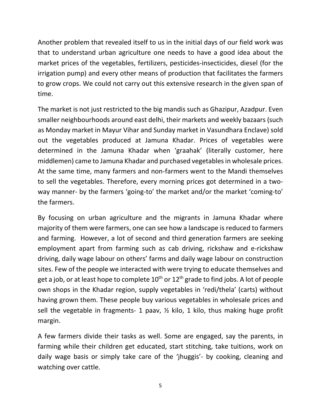Another problem that revealed itself to us in the initial days of our field work was that to understand urban agriculture one needs to have a good idea about the market prices of the vegetables, fertilizers, pesticides-insecticides, diesel (for the irrigation pump) and every other means of production that facilitates the farmers to grow crops. We could not carry out this extensive research in the given span of time.

The market is not just restricted to the big mandis such as Ghazipur, Azadpur. Even smaller neighbourhoods around east delhi, their markets and weekly bazaars (such as Monday market in Mayur Vihar and Sunday market in Vasundhara Enclave) sold out the vegetables produced at Jamuna Khadar. Prices of vegetables were determined in the Jamuna Khadar when 'graahak' (literally customer, here middlemen) came to Jamuna Khadar and purchased vegetables in wholesale prices. At the same time, many farmers and non-farmers went to the Mandi themselves to sell the vegetables. Therefore, every morning prices got determined in a twoway manner- by the farmers 'going-to' the market and/or the market 'coming-to' the farmers.

By focusing on urban agriculture and the migrants in Jamuna Khadar where majority of them were farmers, one can see how a landscape is reduced to farmers and farming. However, a lot of second and third generation farmers are seeking employment apart from farming such as cab driving, rickshaw and e-rickshaw driving, daily wage labour on others' farms and daily wage labour on construction sites. Few of the people we interacted with were trying to educate themselves and get a job, or at least hope to complete  $10^{th}$  or  $12^{th}$  grade to find jobs. A lot of people own shops in the Khadar region, supply vegetables in 'redi/thela' (carts) without having grown them. These people buy various vegetables in wholesale prices and sell the vegetable in fragments- 1 paav, ½ kilo, 1 kilo, thus making huge profit margin.

A few farmers divide their tasks as well. Some are engaged, say the parents, in farming while their children get educated, start stitching, take tuitions, work on daily wage basis or simply take care of the 'jhuggis'- by cooking, cleaning and watching over cattle.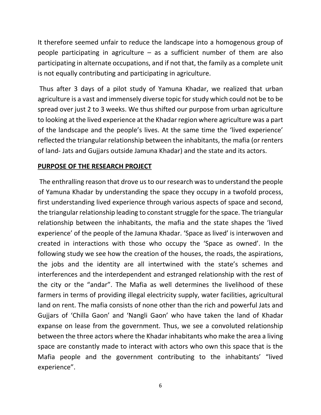It therefore seemed unfair to reduce the landscape into a homogenous group of people participating in agriculture – as a sufficient number of them are also participating in alternate occupations, and if not that, the family as a complete unit is not equally contributing and participating in agriculture.

Thus after 3 days of a pilot study of Yamuna Khadar, we realized that urban agriculture is a vast and immensely diverse topic for study which could not be to be spread over just 2 to 3 weeks. We thus shifted our purpose from urban agriculture to looking at the lived experience at the Khadar region where agriculture was a part of the landscape and the people's lives. At the same time the 'lived experience' reflected the triangular relationship between the inhabitants, the mafia (or renters of land- Jats and Gujjars outside Jamuna Khadar) and the state and its actors.

#### **PURPOSE OF THE RESEARCH PROJECT**

The enthralling reason that drove us to our research was to understand the people of Yamuna Khadar by understanding the space they occupy in a twofold process, first understanding lived experience through various aspects of space and second, the triangular relationship leading to constant struggle for the space. The triangular relationship between the inhabitants, the mafia and the state shapes the 'lived experience' of the people of the Jamuna Khadar. 'Space as lived' is interwoven and created in interactions with those who occupy the 'Space as owned'. In the following study we see how the creation of the houses, the roads, the aspirations, the jobs and the identity are all intertwined with the state's schemes and interferences and the interdependent and estranged relationship with the rest of the city or the "andar". The Mafia as well determines the livelihood of these farmers in terms of providing illegal electricity supply, water facilities, agricultural land on rent. The mafia consists of none other than the rich and powerful Jats and Gujjars of 'Chilla Gaon' and 'Nangli Gaon' who have taken the land of Khadar expanse on lease from the government. Thus, we see a convoluted relationship between the three actors where the Khadar inhabitants who make the area a living space are constantly made to interact with actors who own this space that is the Mafia people and the government contributing to the inhabitants' "lived experience".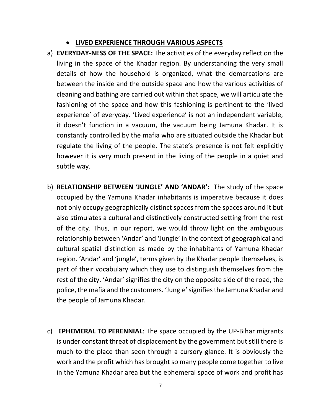- **LIVED EXPERIENCE THROUGH VARIOUS ASPECTS**
- a) **EVERYDAY-NESS OF THE SPACE:** The activities of the everyday reflect on the living in the space of the Khadar region. By understanding the very small details of how the household is organized, what the demarcations are between the inside and the outside space and how the various activities of cleaning and bathing are carried out within that space, we will articulate the fashioning of the space and how this fashioning is pertinent to the 'lived experience' of everyday. 'Lived experience' is not an independent variable, it doesn't function in a vacuum, the vacuum being Jamuna Khadar. It is constantly controlled by the mafia who are situated outside the Khadar but regulate the living of the people. The state's presence is not felt explicitly however it is very much present in the living of the people in a quiet and subtle way.
- b) **RELATIONSHIP BETWEEN 'JUNGLE' AND 'ANDAR':** The study of the space occupied by the Yamuna Khadar inhabitants is imperative because it does not only occupy geographically distinct spaces from the spaces around it but also stimulates a cultural and distinctively constructed setting from the rest of the city. Thus, in our report, we would throw light on the ambiguous relationship between 'Andar' and 'Jungle' in the context of geographical and cultural spatial distinction as made by the inhabitants of Yamuna Khadar region. 'Andar' and 'jungle', terms given by the Khadar people themselves, is part of their vocabulary which they use to distinguish themselves from the rest of the city. 'Andar' signifies the city on the opposite side of the road, the police, the mafia and the customers. 'Jungle'signifies the Jamuna Khadar and the people of Jamuna Khadar.
- c) **EPHEMERAL TO PERENNIAL**: The space occupied by the UP-Bihar migrants is under constant threat of displacement by the government but still there is much to the place than seen through a cursory glance. It is obviously the work and the profit which has brought so many people come together to live in the Yamuna Khadar area but the ephemeral space of work and profit has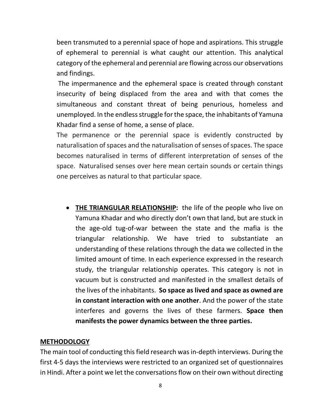been transmuted to a perennial space of hope and aspirations. This struggle of ephemeral to perennial is what caught our attention. This analytical category of the ephemeral and perennial are flowing across our observations and findings.

The impermanence and the ephemeral space is created through constant insecurity of being displaced from the area and with that comes the simultaneous and constant threat of being penurious, homeless and unemployed. In the endless struggle for the space, the inhabitants of Yamuna Khadar find a sense of home, a sense of place.

The permanence or the perennial space is evidently constructed by naturalisation of spaces and the naturalisation of senses of spaces. The space becomes naturalised in terms of different interpretation of senses of the space. Naturalised senses over here mean certain sounds or certain things one perceives as natural to that particular space.

• **THE TRIANGULAR RELATIONSHIP:** the life of the people who live on Yamuna Khadar and who directly don't own that land, but are stuck in the age-old tug-of-war between the state and the mafia is the triangular relationship. We have tried to substantiate an understanding of these relations through the data we collected in the limited amount of time. In each experience expressed in the research study, the triangular relationship operates. This category is not in vacuum but is constructed and manifested in the smallest details of the lives of the inhabitants. **So space as lived and space as owned are in constant interaction with one another**. And the power of the state interferes and governs the lives of these farmers. **Space then manifests the power dynamics between the three parties.**

#### **METHODOLOGY**

The main tool of conducting this field research was in-depth interviews. During the first 4-5 days the interviews were restricted to an organized set of questionnaires in Hindi. After a point we let the conversations flow on their own without directing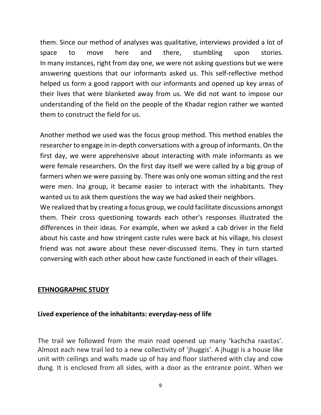them. Since our method of analyses was qualitative, interviews provided a lot of space to move here and there, stumbling upon stories. In many instances, right from day one, we were not asking questions but we were answering questions that our informants asked us. This self-reflective method helped us form a good rapport with our informants and opened up key areas of their lives that were blanketed away from us. We did not want to impose our understanding of the field on the people of the Khadar region rather we wanted them to construct the field for us.

Another method we used was the focus group method. This method enables the researcher to engage in in-depth conversations with a group of informants. On the first day, we were apprehensive about interacting with male informants as we were female researchers. On the first day itself we were called by a big group of farmers when we were passing by. There was only one woman sitting and the rest were men. Ina group, it became easier to interact with the inhabitants. They wanted us to ask them questions the way we had asked their neighbors.

We realized that by creating a focus group, we could facilitate discussions amongst them. Their cross questioning towards each other's responses illustrated the differences in their ideas. For example, when we asked a cab driver in the field about his caste and how stringent caste rules were back at his village, his closest friend was not aware about these never-discussed items. They in turn started conversing with each other about how caste functioned in each of their villages.

#### **ETHNOGRAPHIC STUDY**

#### **Lived experience of the inhabitants: everyday-ness of life**

The trail we followed from the main road opened up many 'kachcha raastas'. Almost each new trail led to a new collectivity of 'jhuggis'. A jhuggi is a house like unit with ceilings and walls made up of hay and floor slathered with clay and cow dung. It is enclosed from all sides, with a door as the entrance point. When we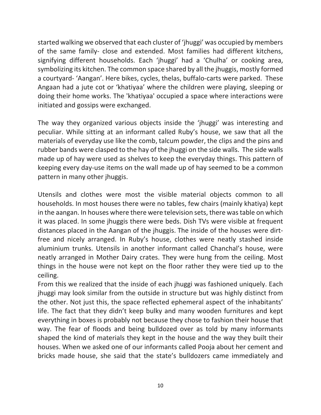started walking we observed that each cluster of 'jhuggi' was occupied by members of the same family- close and extended. Most families had different kitchens, signifying different households. Each 'jhuggi' had a 'Chulha' or cooking area, symbolizing its kitchen. The common space shared by all the jhuggis, mostly formed a courtyard- 'Aangan'. Here bikes, cycles, thelas, buffalo-carts were parked. These Angaan had a jute cot or 'khatiyaa' where the children were playing, sleeping or doing their home works. The 'khatiyaa' occupied a space where interactions were initiated and gossips were exchanged.

The way they organized various objects inside the 'jhuggi' was interesting and peculiar. While sitting at an informant called Ruby's house, we saw that all the materials of everyday use like the comb, talcum powder, the clips and the pins and rubber bands were clasped to the hay of the jhuggi on the side walls. The side walls made up of hay were used as shelves to keep the everyday things. This pattern of keeping every day-use items on the wall made up of hay seemed to be a common pattern in many other jhuggis.

Utensils and clothes were most the visible material objects common to all households. In most houses there were no tables, few chairs (mainly khatiya) kept in the aangan. In houses where there were television sets, there was table on which it was placed. In some jhuggis there were beds. Dish TVs were visible at frequent distances placed in the Aangan of the jhuggis. The inside of the houses were dirtfree and nicely arranged. In Ruby's house, clothes were neatly stashed inside aluminium trunks. Utensils in another informant called Chanchal's house, were neatly arranged in Mother Dairy crates. They were hung from the ceiling. Most things in the house were not kept on the floor rather they were tied up to the ceiling.

From this we realized that the inside of each jhuggi was fashioned uniquely. Each jhuggi may look similar from the outside in structure but was highly distinct from the other. Not just this, the space reflected ephemeral aspect of the inhabitants' life. The fact that they didn't keep bulky and many wooden furnitures and kept everything in boxes is probably not because they chose to fashion their house that way. The fear of floods and being bulldozed over as told by many informants shaped the kind of materials they kept in the house and the way they built their houses. When we asked one of our informants called Pooja about her cement and bricks made house, she said that the state's bulldozers came immediately and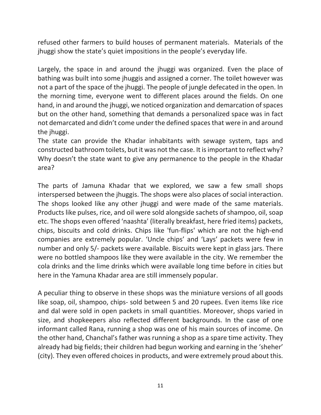refused other farmers to build houses of permanent materials. Materials of the jhuggi show the state's quiet impositions in the people's everyday life.

Largely, the space in and around the jhuggi was organized. Even the place of bathing was built into some jhuggis and assigned a corner. The toilet however was not a part of the space of the jhuggi. The people of jungle defecated in the open. In the morning time, everyone went to different places around the fields. On one hand, in and around the jhuggi, we noticed organization and demarcation of spaces but on the other hand, something that demands a personalized space was in fact not demarcated and didn't come under the defined spaces that were in and around the jhuggi.

The state can provide the Khadar inhabitants with sewage system, taps and constructed bathroom toilets, but it was not the case. It is important to reflect why? Why doesn't the state want to give any permanence to the people in the Khadar area?

The parts of Jamuna Khadar that we explored, we saw a few small shops interspersed between the jhuggis. The shops were also places of social interaction. The shops looked like any other jhuggi and were made of the same materials. Products like pulses, rice, and oil were sold alongside sachets of shampoo, oil, soap etc. The shops even offered 'naashta' (literally breakfast, here fried items) packets, chips, biscuits and cold drinks. Chips like 'fun-flips' which are not the high-end companies are extremely popular. 'Uncle chips' and 'Lays' packets were few in number and only 5/- packets were available. Biscuits were kept in glass jars. There were no bottled shampoos like they were available in the city. We remember the cola drinks and the lime drinks which were available long time before in cities but here in the Yamuna Khadar area are still immensely popular.

A peculiar thing to observe in these shops was the miniature versions of all goods like soap, oil, shampoo, chips- sold between 5 and 20 rupees. Even items like rice and dal were sold in open packets in small quantities. Moreover, shops varied in size, and shopkeepers also reflected different backgrounds. In the case of one informant called Rana, running a shop was one of his main sources of income. On the other hand, Chanchal's father was running a shop as a spare time activity. They already had big fields; their children had begun working and earning in the 'sheher' (city). They even offered choices in products, and were extremely proud about this.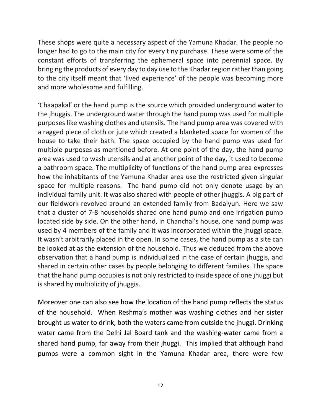These shops were quite a necessary aspect of the Yamuna Khadar. The people no longer had to go to the main city for every tiny purchase. These were some of the constant efforts of transferring the ephemeral space into perennial space. By bringing the products of every day to day use to the Khadar region rather than going to the city itself meant that 'lived experience' of the people was becoming more and more wholesome and fulfilling.

'Chaapakal' or the hand pump is the source which provided underground water to the jhuggis. The underground water through the hand pump was used for multiple purposes like washing clothes and utensils. The hand pump area was covered with a ragged piece of cloth or jute which created a blanketed space for women of the house to take their bath. The space occupied by the hand pump was used for multiple purposes as mentioned before. At one point of the day, the hand pump area was used to wash utensils and at another point of the day, it used to become a bathroom space. The multiplicity of functions of the hand pump area expresses how the inhabitants of the Yamuna Khadar area use the restricted given singular space for multiple reasons. The hand pump did not only denote usage by an individual family unit. It was also shared with people of other jhuggis. A big part of our fieldwork revolved around an extended family from Badaiyun. Here we saw that a cluster of 7-8 households shared one hand pump and one irrigation pump located side by side. On the other hand, in Chanchal's house, one hand pump was used by 4 members of the family and it was incorporated within the jhuggi space. It wasn't arbitrarily placed in the open. In some cases, the hand pump as a site can be looked at as the extension of the household. Thus we deduced from the above observation that a hand pump is individualized in the case of certain jhuggis, and shared in certain other cases by people belonging to different families. The space that the hand pump occupies is not only restricted to inside space of one jhuggi but is shared by multiplicity of jhuggis.

Moreover one can also see how the location of the hand pump reflects the status of the household. When Reshma's mother was washing clothes and her sister brought us water to drink, both the waters came from outside the jhuggi. Drinking water came from the Delhi Jal Board tank and the washing-water came from a shared hand pump, far away from their jhuggi. This implied that although hand pumps were a common sight in the Yamuna Khadar area, there were few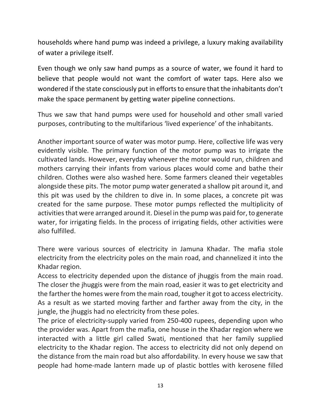households where hand pump was indeed a privilege, a luxury making availability of water a privilege itself.

Even though we only saw hand pumps as a source of water, we found it hard to believe that people would not want the comfort of water taps. Here also we wondered if the state consciously put in efforts to ensure that the inhabitants don't make the space permanent by getting water pipeline connections.

Thus we saw that hand pumps were used for household and other small varied purposes, contributing to the multifarious 'lived experience' of the inhabitants.

Another important source of water was motor pump. Here, collective life was very evidently visible. The primary function of the motor pump was to irrigate the cultivated lands. However, everyday whenever the motor would run, children and mothers carrying their infants from various places would come and bathe their children. Clothes were also washed here. Some farmers cleaned their vegetables alongside these pits. The motor pump water generated a shallow pit around it, and this pit was used by the children to dive in. In some places, a concrete pit was created for the same purpose. These motor pumps reflected the multiplicity of activities that were arranged around it. Diesel in the pump was paid for, to generate water, for irrigating fields. In the process of irrigating fields, other activities were also fulfilled.

There were various sources of electricity in Jamuna Khadar. The mafia stole electricity from the electricity poles on the main road, and channelized it into the Khadar region.

Access to electricity depended upon the distance of jhuggis from the main road. The closer the jhuggis were from the main road, easier it was to get electricity and the farther the homes were from the main road, tougher it got to access electricity. As a result as we started moving farther and farther away from the city, in the jungle, the jhuggis had no electricity from these poles.

The price of electricity-supply varied from 250-400 rupees, depending upon who the provider was. Apart from the mafia, one house in the Khadar region where we interacted with a little girl called Swati, mentioned that her family supplied electricity to the Khadar region. The access to electricity did not only depend on the distance from the main road but also affordability. In every house we saw that people had home-made lantern made up of plastic bottles with kerosene filled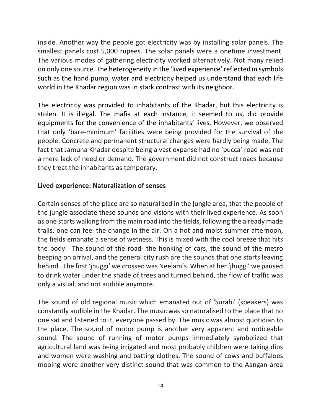inside. Another way the people got electricity was by installing solar panels. The smallest panels cost 5,000 rupees. The solar panels were a onetime investment. The various modes of gathering electricity worked alternatively. Not many relied on only one source. The heterogeneity in the 'lived experience' reflected in symbols such as the hand pump, water and electricity helped us understand that each life world in the Khadar region was in stark contrast with its neighbor.

The electricity was provided to inhabitants of the Khadar, but this electricity is stolen. It is illegal. The mafia at each instance, it seemed to us, did provide equipments for the convenience of the inhabitants' lives. However, we observed that only 'bare-minimum' facilities were being provided for the survival of the people. Concrete and permanent structural changes were hardly being made. The fact that Jamuna Khadar despite being a vast expanse had no 'pucca' road was not a mere lack of need or demand. The government did not construct roads because they treat the inhabitants as temporary.

#### **Lived experience: Naturalization of senses**

Certain senses of the place are so naturalized in the jungle area, that the people of the jungle associate these sounds and visions with their lived experience. As soon as one starts walking from the main road into the fields, following the already made trails, one can feel the change in the air. On a hot and moist summer afternoon, the fields emanate a sense of wetness. This is mixed with the cool breeze that hits the body. The sound of the road- the honking of cars, the sound of the metro beeping on arrival, and the general city rush are the sounds that one starts leaving behind. The first 'jhuggi' we crossed was Neelam's. When at her 'jhuggi' we paused to drink water under the shade of trees and turned behind, the flow of traffic was only a visual, and not audible anymore.

The sound of old regional music which emanated out of 'Surahi' (speakers) was constantly audible in the Khadar. The music was so naturalised to the place that no one sat and listened to it, everyone passed by. The music was almost quotidian to the place. The sound of motor pump is another very apparent and noticeable sound. The sound of running of motor pumps immediately symbolized that agricultural land was being irrigated and most probably children were taking dips and women were washing and batting clothes. The sound of cows and buffaloes mooing were another very distinct sound that was common to the Aangan area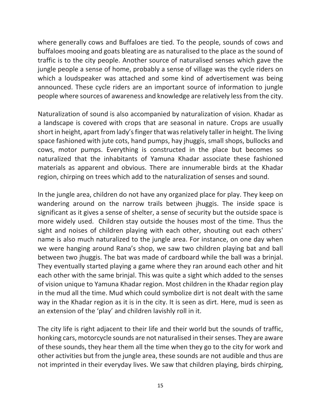where generally cows and Buffaloes are tied. To the people, sounds of cows and buffaloes mooing and goats bleating are as naturalised to the place as the sound of traffic is to the city people. Another source of naturalised senses which gave the jungle people a sense of home, probably a sense of village was the cycle riders on which a loudspeaker was attached and some kind of advertisement was being announced. These cycle riders are an important source of information to jungle people where sources of awareness and knowledge are relatively less from the city.

Naturalization of sound is also accompanied by naturalization of vision. Khadar as a landscape is covered with crops that are seasonal in nature. Crops are usually short in height, apart from lady's finger that was relatively taller in height. The living space fashioned with jute cots, hand pumps, hay jhuggis, small shops, bullocks and cows, motor pumps. Everything is constructed in the place but becomes so naturalized that the inhabitants of Yamuna Khadar associate these fashioned materials as apparent and obvious. There are innumerable birds at the Khadar region, chirping on trees which add to the naturalization of senses and sound.

In the jungle area, children do not have any organized place for play. They keep on wandering around on the narrow trails between jhuggis. The inside space is significant as it gives a sense of shelter, a sense of security but the outside space is more widely used. Children stay outside the houses most of the time. Thus the sight and noises of children playing with each other, shouting out each others' name is also much naturalized to the jungle area. For instance, on one day when we were hanging around Rana's shop, we saw two children playing bat and ball between two jhuggis. The bat was made of cardboard while the ball was a brinjal. They eventually started playing a game where they ran around each other and hit each other with the same brinjal. This was quite a sight which added to the senses of vision unique to Yamuna Khadar region. Most children in the Khadar region play in the mud all the time. Mud which could symbolize dirt is not dealt with the same way in the Khadar region as it is in the city. It is seen as dirt. Here, mud is seen as an extension of the 'play' and children lavishly roll in it.

The city life is right adjacent to their life and their world but the sounds of traffic, honking cars, motorcycle sounds are not naturalised in their senses. They are aware of these sounds, they hear them all the time when they go to the city for work and other activities but from the jungle area, these sounds are not audible and thus are not imprinted in their everyday lives. We saw that children playing, birds chirping,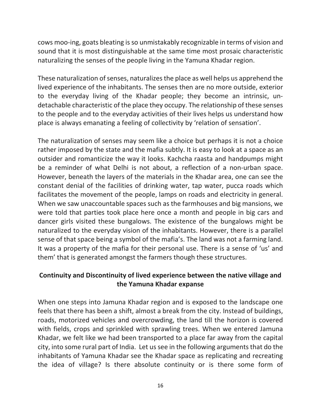cows moo-ing, goats bleating is so unmistakably recognizable in terms of vision and sound that it is most distinguishable at the same time most prosaic characteristic naturalizing the senses of the people living in the Yamuna Khadar region.

These naturalization of senses, naturalizesthe place as well helps us apprehend the lived experience of the inhabitants. The senses then are no more outside, exterior to the everyday living of the Khadar people; they become an intrinsic, undetachable characteristic of the place they occupy. The relationship of these senses to the people and to the everyday activities of their lives helps us understand how place is always emanating a feeling of collectivity by 'relation of sensation'.

The naturalization of senses may seem like a choice but perhaps it is not a choice rather imposed by the state and the mafia subtly. It is easy to look at a space as an outsider and romanticize the way it looks. Kachcha raasta and handpumps might be a reminder of what Delhi is not about, a reflection of a non-urban space. However, beneath the layers of the materials in the Khadar area, one can see the constant denial of the facilities of drinking water, tap water, pucca roads which facilitates the movement of the people, lamps on roads and electricity in general. When we saw unaccountable spaces such as the farmhouses and big mansions, we were told that parties took place here once a month and people in big cars and dancer girls visited these bungalows. The existence of the bungalows might be naturalized to the everyday vision of the inhabitants. However, there is a parallel sense of that space being a symbol of the mafia's. The land was not a farming land. It was a property of the mafia for their personal use. There is a sense of 'us' and them' that is generated amongst the farmers though these structures.

#### **Continuity and Discontinuity of lived experience between the native village and the Yamuna Khadar expanse**

When one steps into Jamuna Khadar region and is exposed to the landscape one feels that there has been a shift, almost a break from the city. Instead of buildings, roads, motorized vehicles and overcrowding, the land till the horizon is covered with fields, crops and sprinkled with sprawling trees. When we entered Jamuna Khadar, we felt like we had been transported to a place far away from the capital city, into some rural part of India. Let us see in the following arguments that do the inhabitants of Yamuna Khadar see the Khadar space as replicating and recreating the idea of village? Is there absolute continuity or is there some form of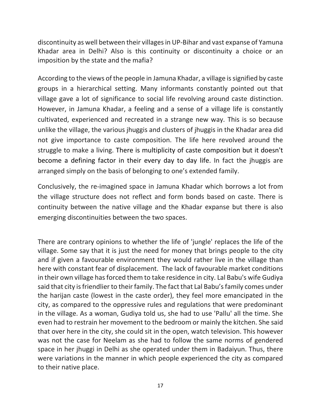discontinuity as well between their villages in UP-Bihar and vast expanse of Yamuna Khadar area in Delhi? Also is this continuity or discontinuity a choice or an imposition by the state and the mafia?

According to the views of the people in Jamuna Khadar, a village is signified by caste groups in a hierarchical setting. Many informants constantly pointed out that village gave a lot of significance to social life revolving around caste distinction. However, in Jamuna Khadar, a feeling and a sense of a village life is constantly cultivated, experienced and recreated in a strange new way. This is so because unlike the village, the various jhuggis and clusters of jhuggis in the Khadar area did not give importance to caste composition. The life here revolved around the struggle to make a living. There is multiplicity of caste composition but it doesn't become a defining factor in their every day to day life. In fact the jhuggis are arranged simply on the basis of belonging to one's extended family.

Conclusively, the re-imagined space in Jamuna Khadar which borrows a lot from the village structure does not reflect and form bonds based on caste. There is continuity between the native village and the Khadar expanse but there is also emerging discontinuities between the two spaces.

There are contrary opinions to whether the life of 'jungle' replaces the life of the village. Some say that it is just the need for money that brings people to the city and if given a favourable environment they would rather live in the village than here with constant fear of displacement. The lack of favourable market conditions in their own village has forced them to take residence in city. Lal Babu's wife Gudiya said that city is friendlier to their family. The fact that Lal Babu's family comes under the harijan caste (lowest in the caste order), they feel more emancipated in the city, as compared to the oppressive rules and regulations that were predominant in the village. As a woman, Gudiya told us, she had to use 'Pallu' all the time. She even had to restrain her movement to the bedroom or mainly the kitchen. She said that over here in the city, she could sit in the open, watch television. This however was not the case for Neelam as she had to follow the same norms of gendered space in her jhuggi in Delhi as she operated under them in Badaiyun. Thus, there were variations in the manner in which people experienced the city as compared to their native place.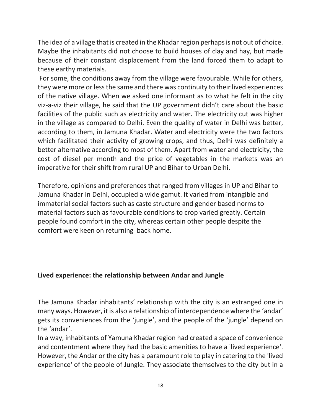The idea of a village that is created in the Khadar region perhaps is not out of choice. Maybe the inhabitants did not choose to build houses of clay and hay, but made because of their constant displacement from the land forced them to adapt to these earthy materials.

For some, the conditions away from the village were favourable. While for others, they were more or less the same and there was continuity to their lived experiences of the native village. When we asked one informant as to what he felt in the city viz-a-viz their village, he said that the UP government didn't care about the basic facilities of the public such as electricity and water. The electricity cut was higher in the village as compared to Delhi. Even the quality of water in Delhi was better, according to them, in Jamuna Khadar. Water and electricity were the two factors which facilitated their activity of growing crops, and thus, Delhi was definitely a better alternative according to most of them. Apart from water and electricity, the cost of diesel per month and the price of vegetables in the markets was an imperative for their shift from rural UP and Bihar to Urban Delhi.

Therefore, opinions and preferences that ranged from villages in UP and Bihar to Jamuna Khadar in Delhi, occupied a wide gamut. It varied from intangible and immaterial social factors such as caste structure and gender based norms to material factors such as favourable conditions to crop varied greatly. Certain people found comfort in the city, whereas certain other people despite the comfort were keen on returning back home.

#### **Lived experience: the relationship between Andar and Jungle**

The Jamuna Khadar inhabitants' relationship with the city is an estranged one in many ways. However, it is also a relationship of interdependence where the 'andar' gets its conveniences from the 'jungle', and the people of the 'jungle' depend on the 'andar'.

In a way, inhabitants of Yamuna Khadar region had created a space of convenience and contentment where they had the basic amenities to have a 'lived experience'. However, the Andar or the city has a paramount role to play in catering to the 'lived experience' of the people of Jungle. They associate themselves to the city but in a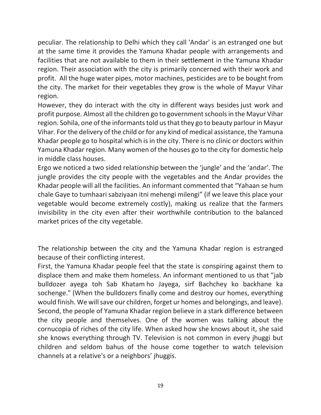peculiar. The relationship to Delhi which they call 'Andar' is an estranged one but at the same time it provides the Yamuna Khadar people with arrangements and facilities that are not available to them in their settlement in the Yamuna Khadar region. Their association with the city is primarily concerned with their work and profit. All the huge water pipes, motor machines, pesticides are to be bought from the city. The market for their vegetables they grow is the whole of Mayur Vihar region.

However, they do interact with the city in different ways besides just work and profit purpose. Almost all the children go to government schools in the Mayur Vihar region. Sohila, one of the informants told us that they go to beauty parlour in Mayur Vihar. For the delivery of the child or for any kind of medical assistance, the Yamuna Khadar people go to hospital which is in the city. There is no clinic or doctors within Yamuna Khadar region. Many women of the houses go to the city for domestic help in middle class houses.

Ergo we noticed a two sided relationship between the 'jungle' and the 'andar'. The jungle provides the city people with the vegetables and the Andar provides the Khadar people will all the facilities. An informant commented that "Yahaan se hum chale Gaye to tumhaari sabziyaan itni mehengi milengi" (if we leave this place your vegetable would become extremely costly), making us realize that the farmers invisibility in the city even after their worthwhile contribution to the balanced market prices of the city vegetable.

The relationship between the city and the Yamuna Khadar region is estranged because of their conflicting interest.

First, the Yamuna Khadar people feel that the state is conspiring against them to displace them and make them homeless. An informant mentioned to us that "jab bulldozer ayega toh Sab Khatam ho Jayega, sirf Bachchey ko backhane ka sochenge." (When the bulldozers finally come and destroy our homes, everything would finish. We will save our children, forget ur homes and belongings, and leave). Second, the people of Yamuna Khadar region believe in a stark difference between the city people and themselves. One of the women was talking about the cornucopia of riches of the city life. When asked how she knows about it, she said she knows everything through TV. Television is not common in every jhuggi but children and seldom bahus of the house come together to watch television channels at a relative's or a neighbors' jhuggis.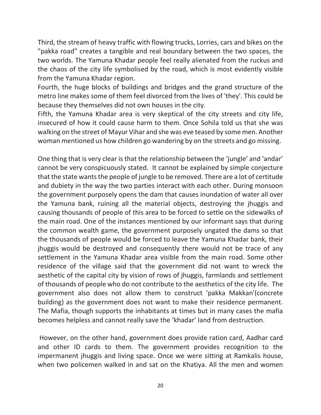Third, the stream of heavy traffic with flowing trucks, Lorries, cars and bikes on the "pakka road" creates a tangible and real boundary between the two spaces, the two worlds. The Yamuna Khadar people feel really alienated from the ruckus and the chaos of the city life symbolised by the road, which is most evidently visible from the Yamuna Khadar region.

Fourth, the huge blocks of buildings and bridges and the grand structure of the metro line makes some of them feel divorced from the lives of 'they'. This could be because they themselves did not own houses in the city.

Fifth, the Yamuna Khadar area is very skeptical of the city streets and city life, insecured of how it could cause harm to them. Once Sohila told us that she was walking on the street of Mayur Vihar and she was eve teased by some men. Another woman mentioned us how children go wandering by on the streets and go missing.

One thing that is very clear is that the relationship between the 'jungle' and 'andar' cannot be very conspicuously stated. It cannot be explained by simple conjecture that the state wants the people of jungle to be removed. There are a lot of certitude and dubiety in the way the two parties interact with each other. During monsoon the government purposely opens the dam that causes inundation of water all over the Yamuna bank, ruining all the material objects, destroying the jhuggis and causing thousands of people of this area to be forced to settle on the sidewalks of the main road. One of the instances mentioned by our informant says that during the common wealth game, the government purposely ungated the dams so that the thousands of people would be forced to leave the Yamuna Khadar bank, their jhuggis would be destroyed and consequently there would not be trace of any settlement in the Yamuna Khadar area visible from the main road. Some other residence of the village said that the government did not want to wreck the aesthetic of the capital city by vision of rows of jhuggis, farmlands and settlement of thousands of people who do not contribute to the aesthetics of the city life. The government also does not allow them to construct 'pakka Makkan'(concrete building) as the government does not want to make their residence permanent. The Mafia, though supports the inhabitants at times but in many cases the mafia becomes helpless and cannot really save the 'khadar' land from destruction.

However, on the other hand, government does provide ration card, Aadhar card and other ID cards to them. The government provides recognition to the impermanent jhuggis and living space. Once we were sitting at Ramkalis house, when two policemen walked in and sat on the Khatiya. All the men and women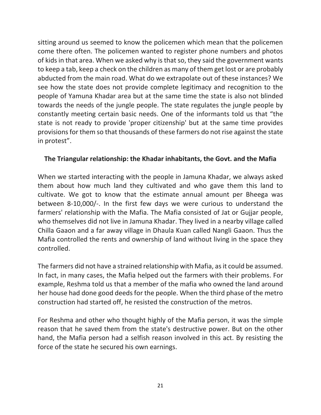sitting around us seemed to know the policemen which mean that the policemen come there often. The policemen wanted to register phone numbers and photos of kids in that area. When we asked why is that so, they said the government wants to keep a tab, keep a check on the children as many of them get lost or are probably abducted from the main road. What do we extrapolate out of these instances? We see how the state does not provide complete legitimacy and recognition to the people of Yamuna Khadar area but at the same time the state is also not blinded towards the needs of the jungle people. The state regulates the jungle people by constantly meeting certain basic needs. One of the informants told us that "the state is not ready to provide 'proper citizenship' but at the same time provides provisions for them so that thousands of these farmers do not rise against the state in protest".

#### **The Triangular relationship: the Khadar inhabitants, the Govt. and the Mafia**

When we started interacting with the people in Jamuna Khadar, we always asked them about how much land they cultivated and who gave them this land to cultivate. We got to know that the estimate annual amount per Bheega was between 8-10,000/-. In the first few days we were curious to understand the farmers' relationship with the Mafia. The Mafia consisted of Jat or Gujjar people, who themselves did not live in Jamuna Khadar. They lived in a nearby village called Chilla Gaaon and a far away village in Dhaula Kuan called Nangli Gaaon. Thus the Mafia controlled the rents and ownership of land without living in the space they controlled.

The farmers did not have a strained relationship with Mafia, as it could be assumed. In fact, in many cases, the Mafia helped out the farmers with their problems. For example, Reshma told us that a member of the mafia who owned the land around her house had done good deeds for the people. When the third phase of the metro construction had started off, he resisted the construction of the metros.

For Reshma and other who thought highly of the Mafia person, it was the simple reason that he saved them from the state's destructive power. But on the other hand, the Mafia person had a selfish reason involved in this act. By resisting the force of the state he secured his own earnings.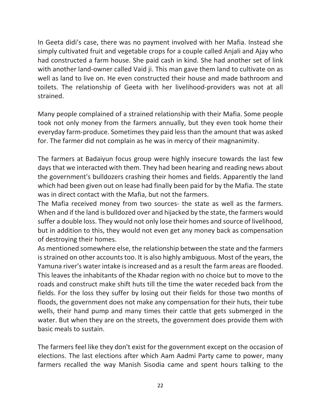In Geeta didi's case, there was no payment involved with her Mafia. Instead she simply cultivated fruit and vegetable crops for a couple called Anjali and Ajay who had constructed a farm house. She paid cash in kind. She had another set of link with another land-owner called Vaid ji. This man gave them land to cultivate on as well as land to live on. He even constructed their house and made bathroom and toilets. The relationship of Geeta with her livelihood-providers was not at all strained.

Many people complained of a strained relationship with their Mafia. Some people took not only money from the farmers annually, but they even took home their everyday farm-produce. Sometimes they paid less than the amount that was asked for. The farmer did not complain as he was in mercy of their magnanimity.

The farmers at Badaiyun focus group were highly insecure towards the last few days that we interacted with them. They had been hearing and reading news about the government's bulldozers crashing their homes and fields. Apparently the land which had been given out on lease had finally been paid for by the Mafia. The state was in direct contact with the Mafia, but not the farmers.

The Mafia received money from two sources- the state as well as the farmers. When and if the land is bulldozed over and hijacked by the state, the farmers would suffer a double loss. They would not only lose their homes and source of livelihood, but in addition to this, they would not even get any money back as compensation of destroying their homes.

As mentioned somewhere else, the relationship between the state and the farmers is strained on other accounts too. It is also highly ambiguous. Most of the years, the Yamuna river's water intake is increased and as a result the farm areas are flooded. This leaves the inhabitants of the Khadar region with no choice but to move to the roads and construct make shift huts till the time the water receded back from the fields. For the loss they suffer by losing out their fields for those two months of floods, the government does not make any compensation for their huts, their tube wells, their hand pump and many times their cattle that gets submerged in the water. But when they are on the streets, the government does provide them with basic meals to sustain.

The farmers feel like they don't exist for the government except on the occasion of elections. The last elections after which Aam Aadmi Party came to power, many farmers recalled the way Manish Sisodia came and spent hours talking to the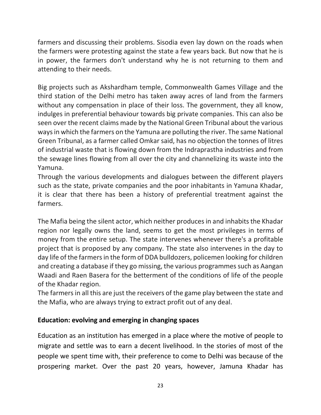farmers and discussing their problems. Sisodia even lay down on the roads when the farmers were protesting against the state a few years back. But now that he is in power, the farmers don't understand why he is not returning to them and attending to their needs.

Big projects such as Akshardham temple, Commonwealth Games Village and the third station of the Delhi metro has taken away acres of land from the farmers without any compensation in place of their loss. The government, they all know, indulges in preferential behaviour towards big private companies. This can also be seen over the recent claims made by the National Green Tribunal about the various ways in which the farmers on the Yamuna are polluting the river. The same National Green Tribunal, as a farmer called Omkar said, has no objection the tonnes of litres of industrial waste that is flowing down from the Indraprastha industries and from the sewage lines flowing from all over the city and channelizing its waste into the Yamuna.

Through the various developments and dialogues between the different players such as the state, private companies and the poor inhabitants in Yamuna Khadar, it is clear that there has been a history of preferential treatment against the farmers.

The Mafia being the silent actor, which neither produces in and inhabits the Khadar region nor legally owns the land, seems to get the most privileges in terms of money from the entire setup. The state intervenes whenever there's a profitable project that is proposed by any company. The state also intervenes in the day to day life of the farmers in the form of DDA bulldozers, policemen looking for children and creating a database if they go missing, the various programmes such as Aangan Waadi and Raen Basera for the betterment of the conditions of life of the people of the Khadar region.

The farmers in all this are just the receivers of the game play between the state and the Mafia, who are always trying to extract profit out of any deal.

#### **Education: evolving and emerging in changing spaces**

Education as an institution has emerged in a place where the motive of people to migrate and settle was to earn a decent livelihood. In the stories of most of the people we spent time with, their preference to come to Delhi was because of the prospering market. Over the past 20 years, however, Jamuna Khadar has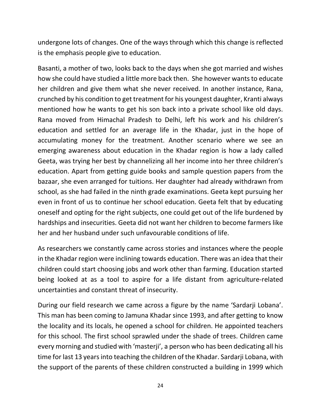undergone lots of changes. One of the ways through which this change is reflected is the emphasis people give to education.

Basanti, a mother of two, looks back to the days when she got married and wishes how she could have studied a little more back then. She however wants to educate her children and give them what she never received. In another instance, Rana, crunched by his condition to get treatment for his youngest daughter, Kranti always mentioned how he wants to get his son back into a private school like old days. Rana moved from Himachal Pradesh to Delhi, left his work and his children's education and settled for an average life in the Khadar, just in the hope of accumulating money for the treatment. Another scenario where we see an emerging awareness about education in the Khadar region is how a lady called Geeta, was trying her best by channelizing all her income into her three children's education. Apart from getting guide books and sample question papers from the bazaar, she even arranged for tuitions. Her daughter had already withdrawn from school, as she had failed in the ninth grade examinations. Geeta kept pursuing her even in front of us to continue her school education. Geeta felt that by educating oneself and opting for the right subjects, one could get out of the life burdened by hardships and insecurities. Geeta did not want her children to become farmers like her and her husband under such unfavourable conditions of life.

As researchers we constantly came across stories and instances where the people in the Khadar region were inclining towards education. There was an idea that their children could start choosing jobs and work other than farming. Education started being looked at as a tool to aspire for a life distant from agriculture-related uncertainties and constant threat of insecurity.

During our field research we came across a figure by the name 'Sardarji Lobana'. This man has been coming to Jamuna Khadar since 1993, and after getting to know the locality and its locals, he opened a school for children. He appointed teachers for this school. The first school sprawled under the shade of trees. Children came every morning and studied with 'masterji', a person who has been dedicating all his time for last 13 years into teaching the children of the Khadar. Sardarji Lobana, with the support of the parents of these children constructed a building in 1999 which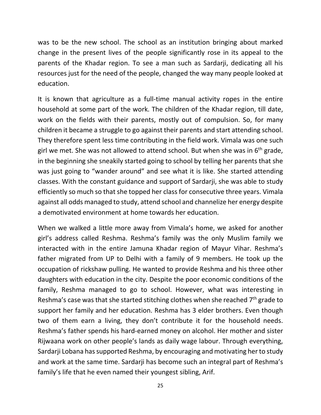was to be the new school. The school as an institution bringing about marked change in the present lives of the people significantly rose in its appeal to the parents of the Khadar region. To see a man such as Sardarji, dedicating all his resources just for the need of the people, changed the way many people looked at education.

It is known that agriculture as a full-time manual activity ropes in the entire household at some part of the work. The children of the Khadar region, till date, work on the fields with their parents, mostly out of compulsion. So, for many children it became a struggle to go against their parents and start attending school. They therefore spent less time contributing in the field work. Vimala was one such girl we met. She was not allowed to attend school. But when she was in  $6<sup>th</sup>$  grade, in the beginning she sneakily started going to school by telling her parents that she was just going to "wander around" and see what it is like. She started attending classes. With the constant guidance and support of Sardarji, she was able to study efficiently so much so that she topped her class for consecutive three years. Vimala against all odds managed to study, attend school and channelize her energy despite a demotivated environment at home towards her education.

When we walked a little more away from Vimala's home, we asked for another girl's address called Reshma. Reshma's family was the only Muslim family we interacted with in the entire Jamuna Khadar region of Mayur Vihar. Reshma's father migrated from UP to Delhi with a family of 9 members. He took up the occupation of rickshaw pulling. He wanted to provide Reshma and his three other daughters with education in the city. Despite the poor economic conditions of the family, Reshma managed to go to school. However, what was interesting in Reshma's case was that she started stitching clothes when she reached 7<sup>th</sup> grade to support her family and her education. Reshma has 3 elder brothers. Even though two of them earn a living, they don't contribute it for the household needs. Reshma's father spends his hard-earned money on alcohol. Her mother and sister Rijwaana work on other people's lands as daily wage labour. Through everything, Sardarji Lobana has supported Reshma, by encouraging and motivating her to study and work at the same time. Sardarji has become such an integral part of Reshma's family's life that he even named their youngest sibling, Arif.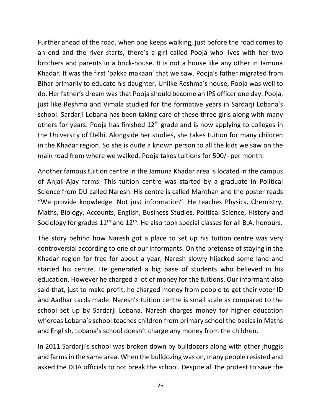Further ahead of the road, when one keeps walking, just before the road comes to an end and the river starts, there's a girl called Pooja who lives with her two brothers and parents in a brick-house. It is not a house like any other in Jamuna Khadar. It was the first 'pakka makaan' that we saw. Pooja's father migrated from Bihar primarily to educate his daughter. Unlike Reshma's house, Pooja was well to do. Her father's dream was that Pooja should become an IPS officer one day. Pooja, just like Reshma and Vimala studied for the formative years in Sardarji Lobana's school. Sardarji Lobana has been taking care of these three girls along with many others for years. Pooja has finished  $12<sup>th</sup>$  grade and is now applying to colleges in the University of Delhi. Alongside her studies, she takes tuition for many children in the Khadar region. So she is quite a known person to all the kids we saw on the main road from where we walked. Pooja takes tuitions for 500/- per month.

Another famous tuition centre in the Jamuna Khadar area is located in the campus of Anjali-Ajay farms. This tuition centre was started by a graduate in Political Science from DU called Naresh. His centre is called Manthan and the poster reads "We provide knowledge. Not just information". He teaches Physics, Chemistry, Maths, Biology, Accounts, English, Business Studies, Political Science, History and Sociology for grades  $11<sup>th</sup>$  and  $12<sup>th</sup>$ . He also took special classes for all B.A. honours.

The story behind how Naresh got a place to set up his tuition centre was very controversial according to one of our informants. On the pretense of staying in the Khadar region for free for about a year, Naresh slowly hijacked some land and started his centre. He generated a big base of students who believed in his education. However he charged a lot of money for the tuitions. Our informant also said that, just to make profit, he charged money from people to get their voter ID and Aadhar cards made. Naresh's tuition centre is small scale as compared to the school set up by Sardarji Lobana. Naresh charges money for higher education whereas Lobana's school teaches children from primary school the basics in Maths and English. Lobana's school doesn't charge any money from the children.

In 2011 Sardarji's school was broken down by bulldozers along with other jhuggis and farms in the same area. When the bulldozing was on, many people resisted and asked the DDA officials to not break the school. Despite all the protest to save the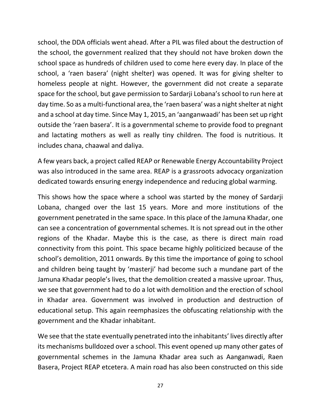school, the DDA officials went ahead. After a PIL was filed about the destruction of the school, the government realized that they should not have broken down the school space as hundreds of children used to come here every day. In place of the school, a 'raen basera' (night shelter) was opened. It was for giving shelter to homeless people at night. However, the government did not create a separate space for the school, but gave permission to Sardarji Lobana's school to run here at day time. So as a multi-functional area, the 'raen basera' was a night shelter at night and a school at day time. Since May 1, 2015, an 'aanganwaadi' has been set up right outside the 'raen basera'. It is a governmental scheme to provide food to pregnant and lactating mothers as well as really tiny children. The food is nutritious. It includes chana, chaawal and daliya.

A few years back, a project called REAP or Renewable Energy Accountability Project was also introduced in the same area. REAP is a grassroots advocacy organization dedicated towards ensuring energy independence and reducing global warming.

This shows how the space where a school was started by the money of Sardarji Lobana, changed over the last 15 years. More and more institutions of the government penetrated in the same space. In this place of the Jamuna Khadar, one can see a concentration of governmental schemes. It is not spread out in the other regions of the Khadar. Maybe this is the case, as there is direct main road connectivity from this point. This space became highly politicized because of the school's demolition, 2011 onwards. By this time the importance of going to school and children being taught by 'masterji' had become such a mundane part of the Jamuna Khadar people's lives, that the demolition created a massive uproar. Thus, we see that government had to do a lot with demolition and the erection of school in Khadar area. Government was involved in production and destruction of educational setup. This again reemphasizes the obfuscating relationship with the government and the Khadar inhabitant.

We see that the state eventually penetrated into the inhabitants' lives directly after its mechanisms bulldozed over a school. This event opened up many other gates of governmental schemes in the Jamuna Khadar area such as Aanganwadi, Raen Basera, Project REAP etcetera. A main road has also been constructed on this side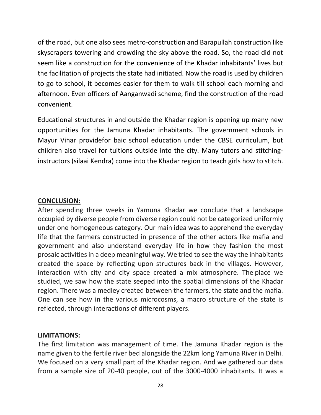of the road, but one also sees metro-construction and Barapullah construction like skyscrapers towering and crowding the sky above the road. So, the road did not seem like a construction for the convenience of the Khadar inhabitants' lives but the facilitation of projects the state had initiated. Now the road is used by children to go to school, it becomes easier for them to walk till school each morning and afternoon. Even officers of Aanganwadi scheme, find the construction of the road convenient.

Educational structures in and outside the Khadar region is opening up many new opportunities for the Jamuna Khadar inhabitants. The government schools in Mayur Vihar providefor baic school education under the CBSE curriculum, but children also travel for tuitions outside into the city. Many tutors and stitchinginstructors (silaai Kendra) come into the Khadar region to teach girls how to stitch.

#### **CONCLUSION:**

After spending three weeks in Yamuna Khadar we conclude that a landscape occupied by diverse people from diverse region could not be categorized uniformly under one homogeneous category. Our main idea was to apprehend the everyday life that the farmers constructed in presence of the other actors like mafia and government and also understand everyday life in how they fashion the most prosaic activities in a deep meaningful way. We tried to see the way the inhabitants created the space by reflecting upon structures back in the villages. However, interaction with city and city space created a mix atmosphere. The place we studied, we saw how the state seeped into the spatial dimensions of the Khadar region. There was a medley created between the farmers, the state and the mafia. One can see how in the various microcosms, a macro structure of the state is reflected, through interactions of different players.

#### **LIMITATIONS:**

The first limitation was management of time. The Jamuna Khadar region is the name given to the fertile river bed alongside the 22km long Yamuna River in Delhi. We focused on a very small part of the Khadar region. And we gathered our data from a sample size of 20-40 people, out of the 3000-4000 inhabitants. It was a